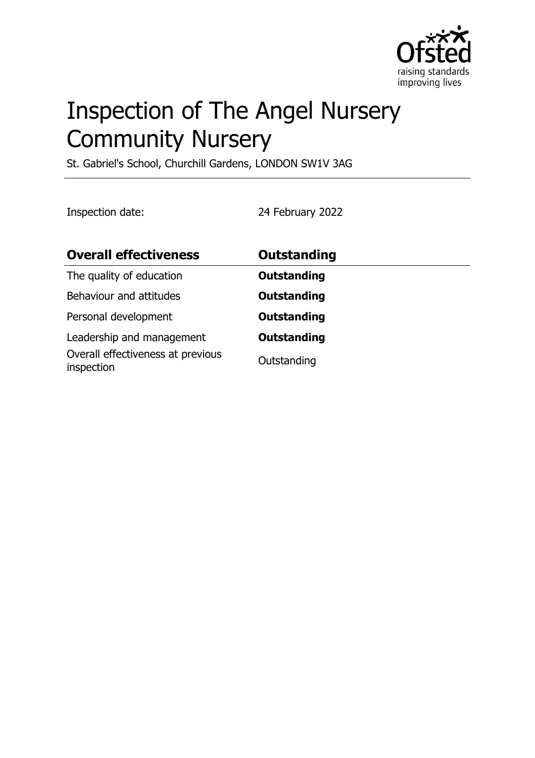

# Inspection of The Angel Nursery Community Nursery

St. Gabriel's School, Churchill Gardens, LONDON SW1V 3AG

Inspection date: 24 February 2022

| <b>Overall effectiveness</b>                                                 | Outstanding                       |
|------------------------------------------------------------------------------|-----------------------------------|
| The quality of education                                                     | <b>Outstanding</b>                |
| Behaviour and attitudes                                                      | <b>Outstanding</b>                |
| Personal development                                                         | <b>Outstanding</b>                |
| Leadership and management<br>Overall effectiveness at previous<br>inspection | <b>Outstanding</b><br>Outstanding |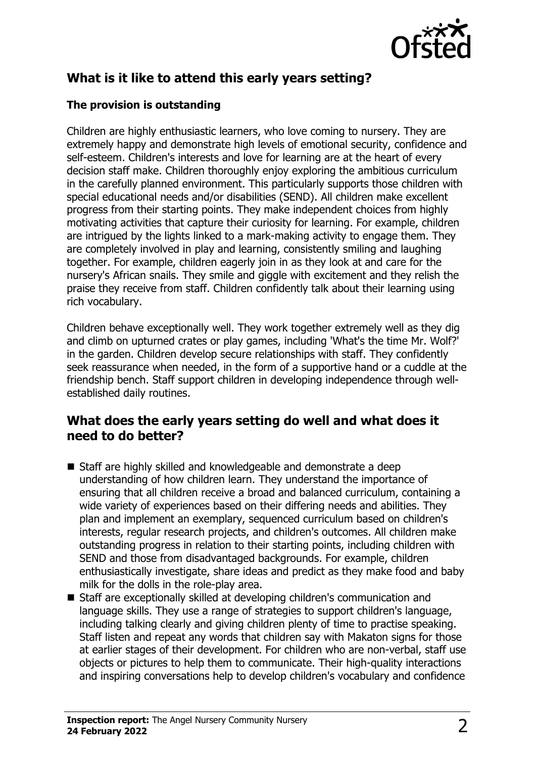

# **What is it like to attend this early years setting?**

#### **The provision is outstanding**

Children are highly enthusiastic learners, who love coming to nursery. They are extremely happy and demonstrate high levels of emotional security, confidence and self-esteem. Children's interests and love for learning are at the heart of every decision staff make. Children thoroughly enjoy exploring the ambitious curriculum in the carefully planned environment. This particularly supports those children with special educational needs and/or disabilities (SEND). All children make excellent progress from their starting points. They make independent choices from highly motivating activities that capture their curiosity for learning. For example, children are intrigued by the lights linked to a mark-making activity to engage them. They are completely involved in play and learning, consistently smiling and laughing together. For example, children eagerly join in as they look at and care for the nursery's African snails. They smile and giggle with excitement and they relish the praise they receive from staff. Children confidently talk about their learning using rich vocabulary.

Children behave exceptionally well. They work together extremely well as they dig and climb on upturned crates or play games, including 'What's the time Mr. Wolf?' in the garden. Children develop secure relationships with staff. They confidently seek reassurance when needed, in the form of a supportive hand or a cuddle at the friendship bench. Staff support children in developing independence through wellestablished daily routines.

#### **What does the early years setting do well and what does it need to do better?**

- $\blacksquare$  Staff are highly skilled and knowledgeable and demonstrate a deep understanding of how children learn. They understand the importance of ensuring that all children receive a broad and balanced curriculum, containing a wide variety of experiences based on their differing needs and abilities. They plan and implement an exemplary, sequenced curriculum based on children's interests, regular research projects, and children's outcomes. All children make outstanding progress in relation to their starting points, including children with SEND and those from disadvantaged backgrounds. For example, children enthusiastically investigate, share ideas and predict as they make food and baby milk for the dolls in the role-play area.
- Staff are exceptionally skilled at developing children's communication and language skills. They use a range of strategies to support children's language, including talking clearly and giving children plenty of time to practise speaking. Staff listen and repeat any words that children say with Makaton signs for those at earlier stages of their development. For children who are non-verbal, staff use objects or pictures to help them to communicate. Their high-quality interactions and inspiring conversations help to develop children's vocabulary and confidence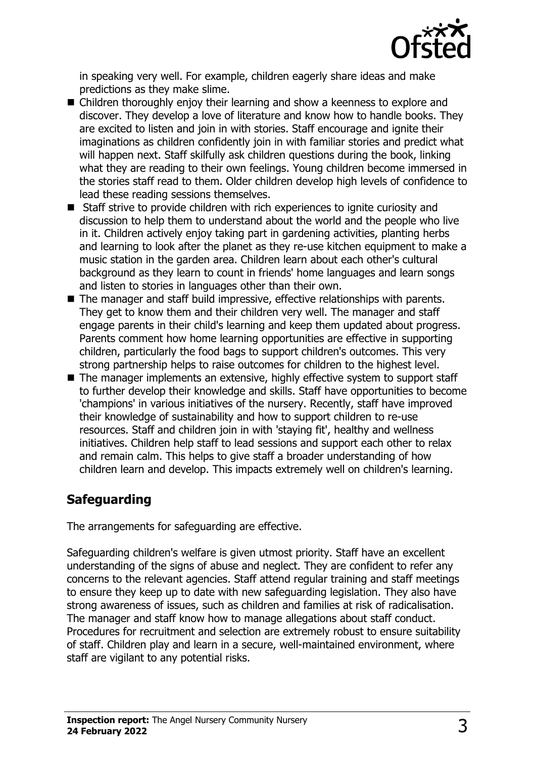

in speaking very well. For example, children eagerly share ideas and make predictions as they make slime.

- $\blacksquare$  Children thoroughly enjoy their learning and show a keenness to explore and discover. They develop a love of literature and know how to handle books. They are excited to listen and join in with stories. Staff encourage and ignite their imaginations as children confidently join in with familiar stories and predict what will happen next. Staff skilfully ask children questions during the book, linking what they are reading to their own feelings. Young children become immersed in the stories staff read to them. Older children develop high levels of confidence to lead these reading sessions themselves.
- $\blacksquare$  Staff strive to provide children with rich experiences to ignite curiosity and discussion to help them to understand about the world and the people who live in it. Children actively enjoy taking part in gardening activities, planting herbs and learning to look after the planet as they re-use kitchen equipment to make a music station in the garden area. Children learn about each other's cultural background as they learn to count in friends' home languages and learn songs and listen to stories in languages other than their own.
- $\blacksquare$  The manager and staff build impressive, effective relationships with parents. They get to know them and their children very well. The manager and staff engage parents in their child's learning and keep them updated about progress. Parents comment how home learning opportunities are effective in supporting children, particularly the food bags to support children's outcomes. This very strong partnership helps to raise outcomes for children to the highest level.
- $\blacksquare$  The manager implements an extensive, highly effective system to support staff to further develop their knowledge and skills. Staff have opportunities to become 'champions' in various initiatives of the nursery. Recently, staff have improved their knowledge of sustainability and how to support children to re-use resources. Staff and children join in with 'staying fit', healthy and wellness initiatives. Children help staff to lead sessions and support each other to relax and remain calm. This helps to give staff a broader understanding of how children learn and develop. This impacts extremely well on children's learning.

## **Safeguarding**

The arrangements for safeguarding are effective.

Safeguarding children's welfare is given utmost priority. Staff have an excellent understanding of the signs of abuse and neglect. They are confident to refer any concerns to the relevant agencies. Staff attend regular training and staff meetings to ensure they keep up to date with new safeguarding legislation. They also have strong awareness of issues, such as children and families at risk of radicalisation. The manager and staff know how to manage allegations about staff conduct. Procedures for recruitment and selection are extremely robust to ensure suitability of staff. Children play and learn in a secure, well-maintained environment, where staff are vigilant to any potential risks.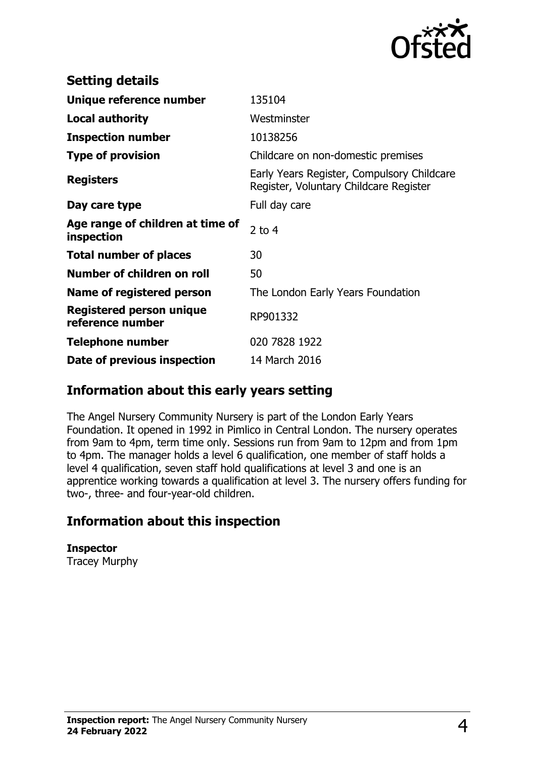

| <b>Setting details</b>                              |                                                                                      |
|-----------------------------------------------------|--------------------------------------------------------------------------------------|
| Unique reference number                             | 135104                                                                               |
| <b>Local authority</b>                              | Westminster                                                                          |
| <b>Inspection number</b>                            | 10138256                                                                             |
| <b>Type of provision</b>                            | Childcare on non-domestic premises                                                   |
| <b>Registers</b>                                    | Early Years Register, Compulsory Childcare<br>Register, Voluntary Childcare Register |
| Day care type                                       | Full day care                                                                        |
| Age range of children at time of<br>inspection      | 2 to $4$                                                                             |
| <b>Total number of places</b>                       | 30                                                                                   |
| Number of children on roll                          | 50                                                                                   |
| Name of registered person                           | The London Early Years Foundation                                                    |
| <b>Registered person unique</b><br>reference number | RP901332                                                                             |
| <b>Telephone number</b>                             | 020 7828 1922                                                                        |
| Date of previous inspection                         | 14 March 2016                                                                        |

### **Information about this early years setting**

The Angel Nursery Community Nursery is part of the London Early Years Foundation. It opened in 1992 in Pimlico in Central London. The nursery operates from 9am to 4pm, term time only. Sessions run from 9am to 12pm and from 1pm to 4pm. The manager holds a level 6 qualification, one member of staff holds a level 4 qualification, seven staff hold qualifications at level 3 and one is an apprentice working towards a qualification at level 3. The nursery offers funding for two-, three- and four-year-old children.

## **Information about this inspection**

**Inspector** Tracey Murphy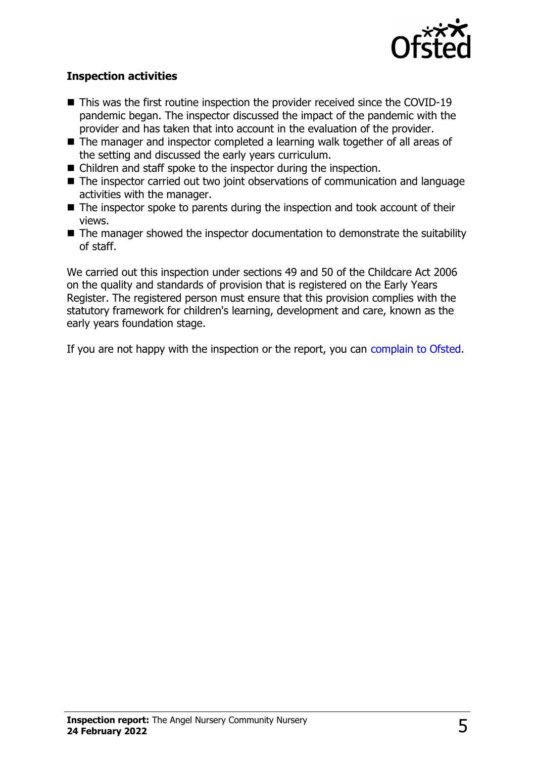

#### **Inspection activities**

- $\blacksquare$  This was the first routine inspection the provider received since the COVID-19 pandemic began. The inspector discussed the impact of the pandemic with the provider and has taken that into account in the evaluation of the provider.
- The manager and inspector completed a learning walk together of all areas of the setting and discussed the early years curriculum.
- $\blacksquare$  Children and staff spoke to the inspector during the inspection.
- $\blacksquare$  The inspector carried out two joint observations of communication and language activities with the manager.
- $\blacksquare$  The inspector spoke to parents during the inspection and took account of their views.
- $\blacksquare$  The manager showed the inspector documentation to demonstrate the suitability of staff.

We carried out this inspection under sections 49 and 50 of the Childcare Act 2006 on the quality and standards of provision that is registered on the Early Years Register. The registered person must ensure that this provision complies with the statutory framework for children's learning, development and care, known as the early years foundation stage.

If you are not happy with the inspection or the report, you can [complain to Ofsted](http://www.gov.uk/complain-ofsted-report).